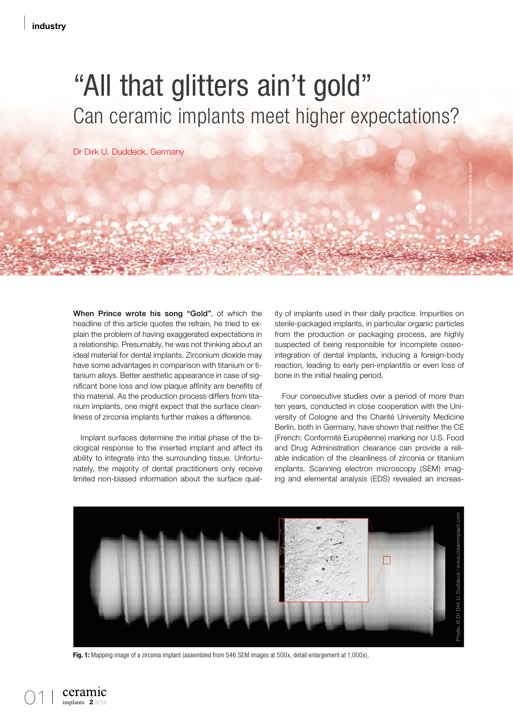## "All that glitters ain't gold" Can ceramic implants meet higher expectations?

Dr Dirk U. Duddeck, Germany

When Prince wrote his song "Gold", of which the headline of this article quotes the refrain, he tried to explain the problem of having exaggerated expectations in a relationship. Presumably, he was not thinking about an ideal material for dental implants. Zirconium dioxide may have some advantages in comparison with titanium or titanium alloys. Better aesthetic appearance in case of significant bone loss and low plaque affinity are benefits of this material. As the production process differs from titanium implants, one might expect that the surface cleanliness of zirconia implants further makes a difference.

Implant surfaces determine the initial phase of the biological response to the inserted implant and affect its ability to integrate into the surrounding tissue. Unfortunately, the majority of dental practitioners only receive limited non-biased information about the surface quality of implants used in their daily practice. Impurities on sterile-packaged implants, in particular organic particles from the production or packaging process, are highly suspected of being responsible for incomplete osseointegration of dental implants, inducing a foreign-body reaction, leading to early peri-implantitis or even loss of bone in the initial healing period.

Four consecutive studies over a period of more than ten years, conducted in close cooperation with the University of Cologne and the Charité University Medicine Berlin, both in Germany, have shown that neither the CE (French: Conformité Européenne) marking nor U.S. Food and Drug Administration clearance can provide a reliable indication of the cleanliness of zirconia or titanium implants. Scanning electron microscopy (SEM) imaging and elemental analysis (EDS) revealed an increas-